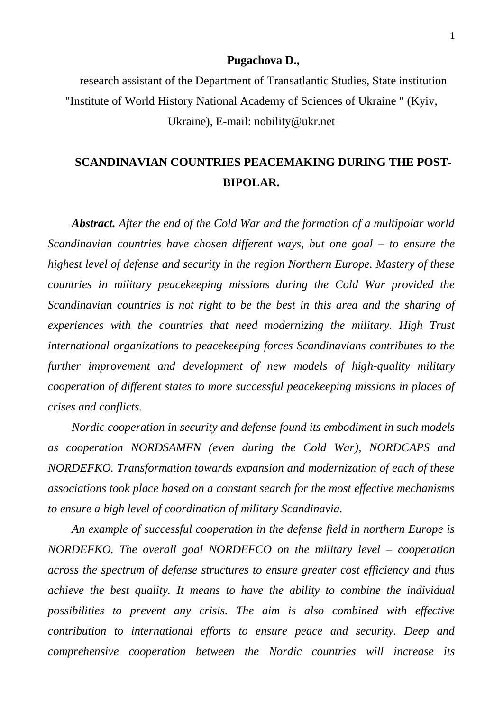## **Pugachova D.,**

research assistant of the Department of Transatlantic Studies, State institution "Institute of World History National Academy of Sciences of Ukraine " (Kyiv, Ukraine), E-mail: nobility@ukr.net

## **SCANDINAVIAN COUNTRIES PEACEMAKING DURING THE POST-BIPOLAR.**

*Abstract. After the end of the Cold War and the formation of a multipolar world Scandinavian countries have chosen different ways, but one goal – to ensure the highest level of defense and security in the region Northern Europe. Mastery of these countries in military peacekeeping missions during the Cold War provided the Scandinavian countries is not right to be the best in this area and the sharing of experiences with the countries that need modernizing the military. High Trust international organizations to peacekeeping forces Scandinavians contributes to the further improvement and development of new models of high-quality military cooperation of different states to more successful peacekeeping missions in places of crises and conflicts.*

*Nordic cooperation in security and defense found its embodiment in such models as cooperation NORDSAMFN (even during the Cold War), NORDCAPS and NORDEFKO. Transformation towards expansion and modernization of each of these associations took place based on a constant search for the most effective mechanisms to ensure a high level of coordination of military Scandinavia.*

*An example of successful cooperation in the defense field in northern Europe is NORDEFKO. The overall goal NORDEFCO on the military level – cooperation across the spectrum of defense structures to ensure greater cost efficiency and thus achieve the best quality. It means to have the ability to combine the individual possibilities to prevent any crisis. The aim is also combined with effective contribution to international efforts to ensure peace and security. Deep and comprehensive cooperation between the Nordic countries will increase its*